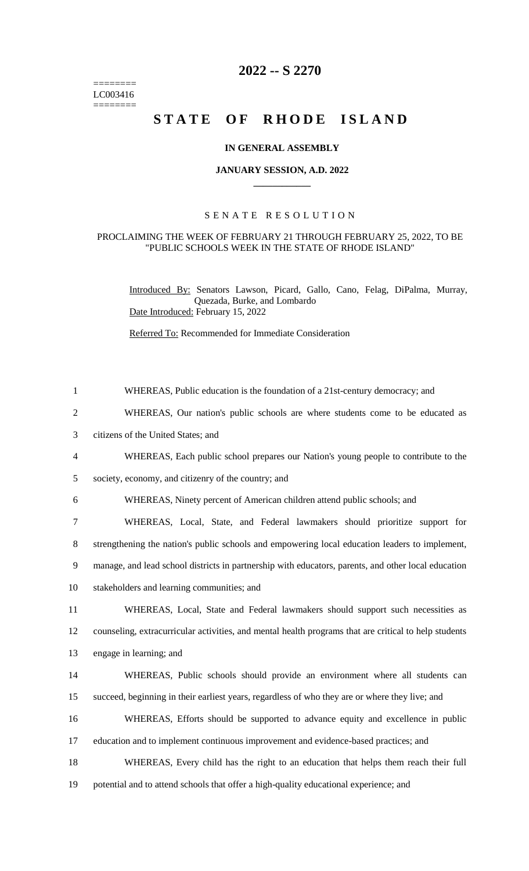======== LC003416  $=$ 

## **2022 -- S 2270**

# STATE OF RHODE ISLAND

#### **IN GENERAL ASSEMBLY**

#### **JANUARY SESSION, A.D. 2022 \_\_\_\_\_\_\_\_\_\_\_\_**

### S E N A T E R E S O L U T I O N

#### PROCLAIMING THE WEEK OF FEBRUARY 21 THROUGH FEBRUARY 25, 2022, TO BE "PUBLIC SCHOOLS WEEK IN THE STATE OF RHODE ISLAND"

Introduced By: Senators Lawson, Picard, Gallo, Cano, Felag, DiPalma, Murray, Quezada, Burke, and Lombardo Date Introduced: February 15, 2022

Referred To: Recommended for Immediate Consideration

| $\mathbf{1}$   | WHEREAS, Public education is the foundation of a 21st-century democracy; and                          |
|----------------|-------------------------------------------------------------------------------------------------------|
| $\overline{2}$ | WHEREAS, Our nation's public schools are where students come to be educated as                        |
| 3              | citizens of the United States; and                                                                    |
| 4              | WHEREAS, Each public school prepares our Nation's young people to contribute to the                   |
| 5              | society, economy, and citizenry of the country; and                                                   |
| 6              | WHEREAS, Ninety percent of American children attend public schools; and                               |
| 7              | WHEREAS, Local, State, and Federal lawmakers should prioritize support for                            |
| 8              | strengthening the nation's public schools and empowering local education leaders to implement,        |
| 9              | manage, and lead school districts in partnership with educators, parents, and other local education   |
| 10             | stakeholders and learning communities; and                                                            |
| 11             | WHEREAS, Local, State and Federal lawmakers should support such necessities as                        |
| 12             | counseling, extracurricular activities, and mental health programs that are critical to help students |
| 13             | engage in learning; and                                                                               |
| 14             | WHEREAS, Public schools should provide an environment where all students can                          |
| 15             | succeed, beginning in their earliest years, regardless of who they are or where they live; and        |
| 16             | WHEREAS, Efforts should be supported to advance equity and excellence in public                       |
| 17             | education and to implement continuous improvement and evidence-based practices; and                   |
| 18             | WHEREAS, Every child has the right to an education that helps them reach their full                   |
| 19             | potential and to attend schools that offer a high-quality educational experience; and                 |